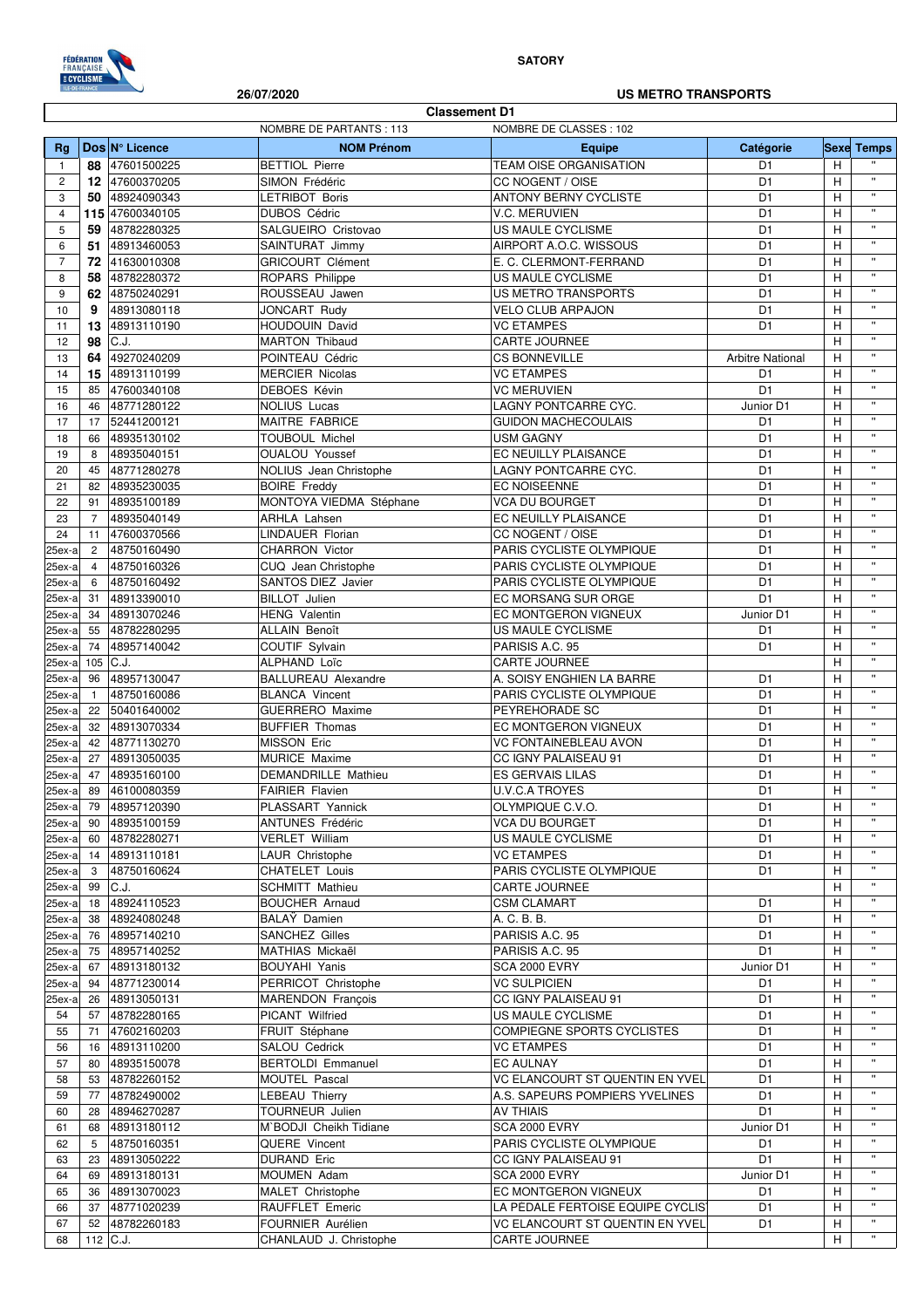

### **SATORY**

### NOMBRE DE PARTANTS : 113 NOMBRE DE CLASSES : 102 **Rg Dos N° Licence NOM Prénom Equipe Catégorie Sexe Temps 88** 47601500225 BETTIOL Pierre TEAM OISE ORGANISATION D1 H 2 **12** 47600370205 SIMON Frédéric CC NOGENT / OISE D1 H '' 3 **50** 48924090343 LETRIBOT Boris ANTONY BERNY CYCLISTE<br>4 **115** 47600340105 DUBOS Cédric V.C. MERUVIEN 4 **115** 47600340105 DUBOS Cédric V.C. MERUVIEN D1 H '' 5 **59** 48782280325 SALGUEIRO Cristovao US MAULE CYCLISME D1 H '' 6 **51** 48913460053 SAINTURAT Jimmy AIRPORT A.O.C. WISSOUS D1 H '' 7 **72** 41630010308 GRICOURT Clément E. C. CLERMONT-FERRAND D1 H '' 8 **58** 48782280372 ROPARS Philippe US MAULE CYCLISME D1 H 9 **62** 48750240291 ROUSSEAU Jawen US METRO TRANSPORTS D1 H '' 10 **9** 48913080118 JONCART Rudy VELO CLUB ARPAJON D1 H '' 11 **13** 48913110190 **HOUDOUIN David VC ETAMPES D1 D1** H <sup>"</sup><br>12 **08** C1 **MARTON Thisoud** CARTE JOURNEE 12 **| 98** |C.J. |MARTON Thibaud |CARTE JOURNEE | H | " 13 **64** 49270240209 POINTEAU Cédric CS BONNEVILLE Arbitre National H '' 14 **15** 48913110199 MERCIER Nicolas VC ETAMPES D1 H '' 15 85 47600340108 DEBOES Kévin VC MERUVIEN D1 H '' 16 46 48771280122 NOLIUS Lucas LAGNY PONTCARRE CYC. Junior D1 H '' 17 17 52441200121 MAITRE FABRICE GUIDON MACHECOULAIS D1 H '' 18 66 48935130102 TOUBOUL Michel **USM GAGNY** D1 D1 H 19 8 48935040151 OUALOU Youssef EC NEUILLY PLAISANCE D1 H '' 20 45 48771280278 NOLIUS Jean Christophe LAGNY PONTCARRE CYC. D1 H ''<br>21 82 48935230035 BOIRE Freddy EC NOISEENNE D1 H '' 21 82 48935230035 BOIRE Freddy EC NOISEENNE D1 H '' 22 91 48935100189 MONTOYA VIEDMA Stéphane VCA DU BOURGET D1 H '' 23 7 48935040149 ARHLA Lahsen EC NEUILLY PLAISANCE D1 H H " 24 11 47600370566 LINDAUER Florian CC NOGENT / OISE D1 H '' 25ex-a 2 48750160490 CHARRON Victor PARIS CYCLISTE OLYMPIQUE D1 H '' 25ex-a 4 48750160326 CUQ Jean Christophe PARIS CYCLISTE OLYMPIQUE D1 H H '' 25ex-a 6 48750160492 SANTOS DIEZ Javier PARIS CYCLISTE OLYMPIQUE D1 H '' 25ex-a 31 48913390010 BILLOT Julien EC MORSANG SUR ORGE D1 H '' 25ex-a 34 48913070246 HENG Valentin EC MONTGERON VIGNEUX Junior D1 H '' 25ex-a 55 48782280295 ALLAIN Benoît US MAULE CYCLISME D1 H '' 25ex-a 74 48957140042 COUTIF Sylvain PARISIS A.C. 95 COUTIF Sylvain PARISIS A.C. 95 25ex-a| 105 |C.J. |ALPHAND Loïc |CARTE JOURNEE | H | '' 25ex-a 96 48957130047 BALLUREAU Alexandre A. SOISY ENGHIEN LA BARRE D1 H '' 25ex-a 1 48750160086 BLANCA Vincent PARIS CYCLISTE OLYMPIQUE D1 H '' 25ex-a 22 50401640002 GUERRERO Maxime PEYREHORADE SC D1 H '' 25ex-a 32 48913070334 BUFFIER Thomas EC MONTGERON VIGNEUX D1 H '' " 25ex-a 42 48771130270 MISSON Eric VC FONTAINEBLEAU AVON D1 H ''<br>25ex-a 27 48913050035 MURICE Maxime CC IGNY PALAISEAU 91 D1 H '' 25ex-a 27 48913050035 MURICE Maxime CC IGNY PALAISEAU 91 D1 H '' **Classement D1 26/07/2020 US METRO TRANSPORTS**

25ex-a 47 48935160100 DEMANDRILLE Mathieu ESGERVAIS LILAS D1 H '' 25ex-a 89 46100080359 FAIRIER Flavien U.V.C.A TROYES D1 H '' 25ex-a 79 48957120390 PLASSART Yannick OLYMPIQUE C.V.O. D1 H '' 25ex-a 90 48935100159 ANTUNES Frédéric VCA DU BOURGET D1 H ''  $25$ ex-a 60 48782280271 VERLET William US MAULE CYCLISME D1 H 25ex-a 14 48913110181 LAUR Christophe VC ETAMPES D1 H '' 25ex-a 3 | 48750160624 | CHATELET Louis | PARIS CYCLISTE OLYMPIQUE | D1 | H 25ex-a 99 C.J. SCHMITT Mathieu CARTE JOURNEE H ''  $25$ ex-a 18 48924110523 BOUCHER Arnaud CSM CLAMART D1 H  $\vert$  " 25ex-a 38 48924080248 BALAŸ Damien A. C. B. B. D1 H '' 25ex-a 76 48957140210 SANCHEZ Gilles PARISIS A.C. 95 D1 H '' 25ex-a 75 48957140252 MATHIAS Mickaël PARISIS A.C. 95 D1 H '' 25ex-a 67 48913180132 BOUYAHI Yanis SCA 2000 EVRY Junior D1 H '' 25ex-a 94 48771230014 PERRICOT Christophe VC SULPICIEN D1 H '' 25ex-a 26 48913050131 MARENDON François CC IGNY PALAISEAU 91 D1 H '' 54 57 48782280165 PICANT Wilfried US MAULE CYCLISME D1 H '<br>55 71 47602160203 FRUIT Stéphane COMPIEGNE SPORTS CYCLISTES D1 H '' 55 71 47602160203 FRUIT Stéphane COMPIEGNE SPORTS CYCLISTES D1 H '' 56 16 48913110200 SALOU Cedrick VC ETAMPES D1 H '' 57 80 48935150078 BERTOLDI Emmanuel EC AULNAY CONTROLLECTED IN H 58 53 48782260152 MOUTEL Pascal VC ELANCOURT ST QUENTIN EN YVELING TEAM TEAM IN H 59 77 48782490002 LEBEAU Thierry A.S. SAPEURS POMPIERS YVELINES D1 H '' 60 28 48946270287 TOURNEUR Julien AV THIAIS D1 H '' 61 | 68 | 48913180112 | M`BODJI Cheikh Tidiane | SCA 2000 EVRY | Junior D1 | H 62 5 48750160351 QUERE Vincent PARIS CYCLISTE OLYMPIQUE D1 H '' 63 23 48913050222 DURAND Eric CC IGNY PALAISEAU 91 D1 H '' 64 69 48913180131 MOUMEN Adam SCA 2000 EVRY Junior D1 H 65 36 48913070023 MALET Christophe EC MONTGERON VIGNEUX D1 H | " 66 37 48771020239 RAUFFLET Emeric LA PÉDALE FERTOISE EQUIPE CYCLISTE D1 H '' 67 | 52 | 48782260183 | FOURNIER Aurélien | VC ELANCOURT ST QUENTIN EN YVEL | D1 | H 68 112 C.J. CHANLAUD J. Christophe CARTE JOURNEE H H H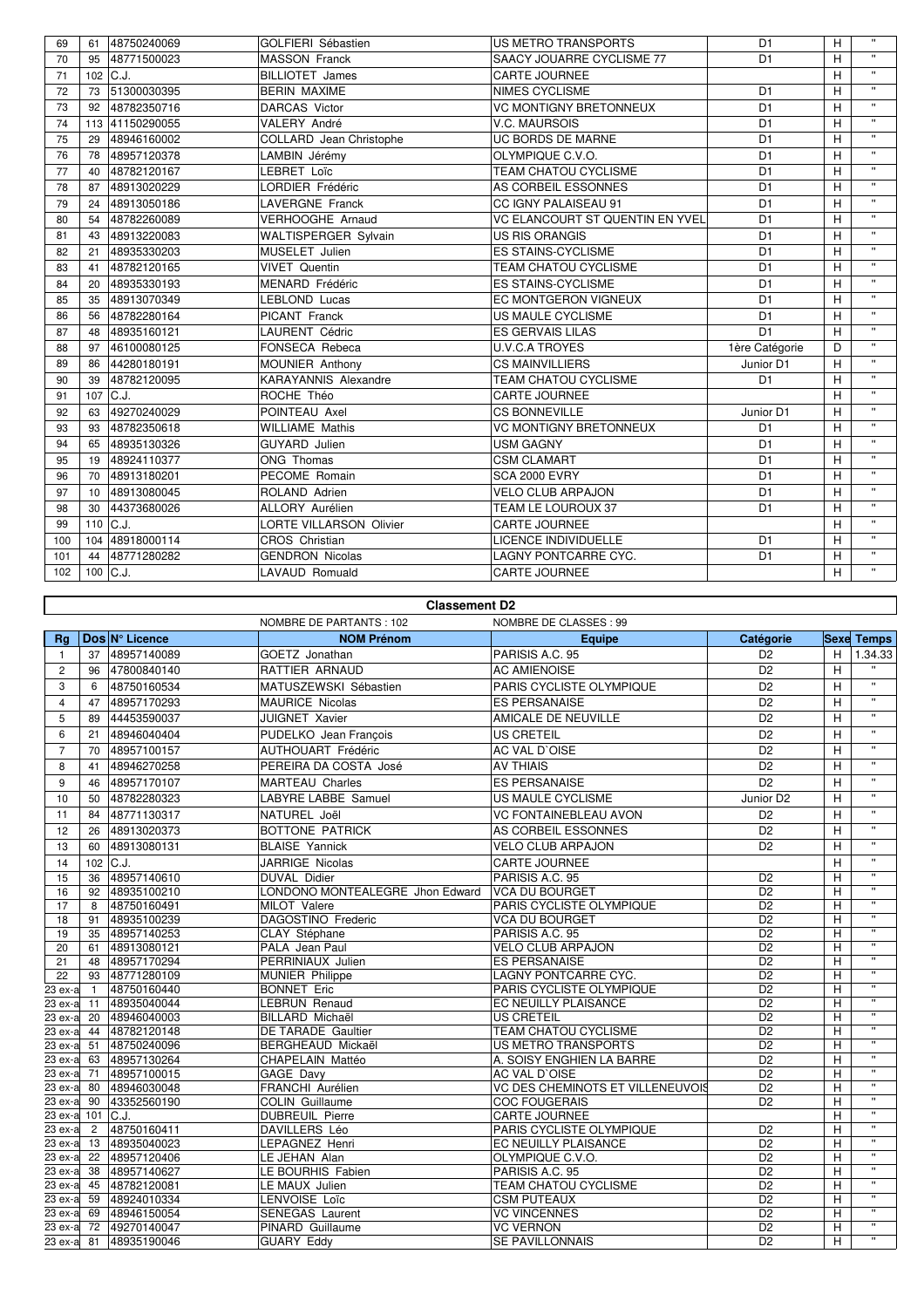| 69  | 61          | 48750240069     | GOLFIERI Sébastien             | <b>US METRO TRANSPORTS</b>             | D <sub>1</sub> | H              | $\mathbf{H}$   |
|-----|-------------|-----------------|--------------------------------|----------------------------------------|----------------|----------------|----------------|
| 70  | 95          | 48771500023     | <b>MASSON Franck</b>           | SAACY JOUARRE CYCLISME 77              | D <sub>1</sub> | H              | $\mathbf{u}$   |
| 71  | $102$ C.J.  |                 | <b>BILLIOTET James</b>         | <b>CARTE JOURNEE</b>                   |                | H              | $\mathbf{H}$ . |
| 72  | 73          | 51300030395     | <b>BERIN MAXIME</b>            | <b>NIMES CYCLISME</b>                  | D <sub>1</sub> | H              | $\mathbf{H}$   |
| 73  | 92          | 48782350716     | <b>DARCAS Victor</b>           | <b>VC MONTIGNY BRETONNEUX</b>          | D <sub>1</sub> | H              | $\mathbf{H}$   |
| 74  |             | 113 41150290055 | VALERY André                   | V.C. MAURSOIS                          | D <sub>1</sub> | H              | $\mathbf{H}$   |
| 75  | 29          | 48946160002     | COLLARD Jean Christophe        | UC BORDS DE MARNE                      | D <sub>1</sub> | $\overline{H}$ | $\mathbf{u}$   |
| 76  | 78          | 48957120378     | LAMBIN Jérémy                  | OLYMPIQUE C.V.O.                       | D <sub>1</sub> | H              | $\mathbf{H}$   |
| 77  | 40          | 48782120167     | LEBRET Loïc                    | <b>TEAM CHATOU CYCLISME</b>            | D <sub>1</sub> | H              | $\mathbf{H}$   |
| 78  | 87          | 48913020229     | LORDIER Frédéric               | AS CORBEIL ESSONNES                    | D <sub>1</sub> | H              | $\mathbf{H}$   |
| 79  | 24          | 48913050186     | <b>LAVERGNE Franck</b>         | CC IGNY PALAISEAU 91                   | D <sub>1</sub> | H              | $\mathbf{u}$   |
| 80  | 54          | 48782260089     | <b>VERHOOGHE Arnaud</b>        | <b>VC ELANCOURT ST QUENTIN EN YVEL</b> | D <sub>1</sub> | H              | $\mathbf{H}$   |
| 81  | 43          | 48913220083     | <b>WALTISPERGER Sylvain</b>    | <b>US RIS ORANGIS</b>                  | D <sub>1</sub> | H              | $\mathbf{H}$   |
| 82  | 21          | 48935330203     | MUSELET Julien                 | <b>ES STAINS-CYCLISME</b>              | D <sub>1</sub> | H              | $\mathbf{H}$ . |
| 83  | 41          | 48782120165     | <b>VIVET Quentin</b>           | TEAM CHATOU CYCLISME                   | D <sub>1</sub> | H              | $\mathbf{H}$   |
| 84  | 20          | 48935330193     | MENARD Frédéric                | <b>ES STAINS-CYCLISME</b>              | D <sub>1</sub> | H              | $\mathbf{H}$   |
| 85  | 35          | 48913070349     | LEBLOND Lucas                  | <b>EC MONTGERON VIGNEUX</b>            | D <sub>1</sub> | H              | $\mathbf{H}$ . |
| 86  | 56          | 48782280164     | <b>PICANT Franck</b>           | US MAULE CYCLISME                      | D <sub>1</sub> | H              | $\mathbf{H}$   |
| 87  | 48          | 48935160121     | <b>LAURENT Cédric</b>          | <b>ES GERVAIS LILAS</b>                | D <sub>1</sub> | H              | $\mathbf{H}$   |
| 88  | 97          | 46100080125     | FONSECA Rebeca                 | <b>U.V.C.A TROYES</b>                  | 1ère Catégorie | D              | $\mathbf{H}$   |
| 89  | 86          | 44280180191     | MOUNIER Anthony                | <b>CS MAINVILLIERS</b>                 | Junior D1      | H              | $\mathbf{H}$   |
| 90  | 39          | 48782120095     | KARAYANNIS Alexandre           | <b>TEAM CHATOU CYCLISME</b>            | D <sub>1</sub> | H              | $\mathbf{u}$   |
| 91  | 107         | IC.J.           | ROCHE Théo                     | <b>CARTE JOURNEE</b>                   |                | $\overline{H}$ | $\mathbf{H}$   |
| 92  | 63          | 49270240029     | POINTEAU Axel                  | <b>CS BONNEVILLE</b>                   | Junior D1      | H              | $\mathbf{H}$   |
| 93  | 93          | 48782350618     | <b>WILLIAME Mathis</b>         | <b>VC MONTIGNY BRETONNEUX</b>          | D <sub>1</sub> | H              | $\mathbf{u}$   |
| 94  | 65          | 48935130326     | <b>GUYARD</b> Julien           | <b>USM GAGNY</b>                       | D <sub>1</sub> | H              | $\mathbf{H}$   |
| 95  | 19          | 48924110377     | ONG Thomas                     | <b>CSM CLAMART</b>                     | D <sub>1</sub> | H              | $\mathbf{H}$   |
| 96  | 70          | 48913180201     | PECOME Romain                  | <b>SCA 2000 EVRY</b>                   | D <sub>1</sub> | H              | $\mathbf{H}$   |
| 97  | 10          | 48913080045     | ROLAND Adrien                  | <b>VELO CLUB ARPAJON</b>               | D <sub>1</sub> | н              | $\mathbf{H}$   |
| 98  | 30          | 44373680026     | ALLORY Aurélien                | TEAM LE LOUROUX 37                     | D <sub>1</sub> | H              | $\mathbf{H}$   |
| 99  | 110 $ C.J.$ |                 | <b>LORTE VILLARSON Olivier</b> | <b>CARTE JOURNEE</b>                   |                | H              | $\mathbf{H}$   |
| 100 | 104         | 48918000114     | CROS Christian                 | LICENCE INDIVIDUELLE                   | D <sub>1</sub> | H              | $\mathbf{H}$ . |
| 101 | 44          | 48771280282     | <b>GENDRON Nicolas</b>         | LAGNY PONTCARRE CYC.                   | D <sub>1</sub> | H              | $\mathbf{H}$   |
| 102 | $100$ C.J.  |                 | LAVAUD Romuald                 | <b>CARTE JOURNEE</b>                   |                | H              | $\mathbf{H}$ . |

## **Classement D2**

|                |                |                        | NOMBRE DE PARTANTS : 102        | NOMBRE DE CLASSES : 99           |                       |   |                           |
|----------------|----------------|------------------------|---------------------------------|----------------------------------|-----------------------|---|---------------------------|
| Rg             |                | Dos N° Licence         | <b>NOM Prénom</b>               | <b>Equipe</b>                    | Catégorie             |   | <b>Sexe Temps</b>         |
| $\mathbf{1}$   | 37             | 48957140089            | GOETZ Jonathan                  | PARISIS A.C. 95                  | D <sub>2</sub>        | H | 1.34.33                   |
| $\overline{2}$ | 96             | 47800840140            | RATTIER ARNAUD                  | <b>AC AMIENOISE</b>              | D <sub>2</sub>        | H |                           |
| 3              | 6              | 48750160534            | MATUSZEWSKI Sébastien           | PARIS CYCLISTE OLYMPIQUE         | D <sub>2</sub>        | H | $\mathbf{u}$              |
| $\overline{4}$ | 47             | 48957170293            | <b>MAURICE Nicolas</b>          | <b>ES PERSANAISE</b>             | D <sub>2</sub>        | H | $\ddot{\phantom{a}}$      |
| 5              | 89             | 44453590037            | <b>JUIGNET Xavier</b>           | AMICALE DE NEUVILLE              | D <sub>2</sub>        | H | $\mathbf{H}$              |
| 6              | 21             | 48946040404            | PUDELKO Jean François           | <b>US CRETEIL</b>                | D <sub>2</sub>        | H | $\mathbf{H}$              |
| $\overline{7}$ | 70             | 48957100157            | AUTHOUART Frédéric              | AC VAL D'OISE                    | D <sub>2</sub>        | H | $\boldsymbol{\mathsf{u}}$ |
| 8              | 41             | 48946270258            | PEREIRA DA COSTA José           | <b>AV THIAIS</b>                 | D <sub>2</sub>        | H | $\bar{\mathbf{u}}$        |
| 9              | 46             | 48957170107            | <b>MARTEAU Charles</b>          | <b>ES PERSANAISE</b>             | D <sub>2</sub>        | H | $\bar{\mathbf{u}}$        |
| 10             | 50             | 48782280323            | LABYRE LABBE Samuel             | US MAULE CYCLISME                | Junior D <sub>2</sub> | H | $\mathbf{u}$              |
| 11             | 84             | 48771130317            | NATUREL Joël                    | <b>VC FONTAINEBLEAU AVON</b>     | D <sub>2</sub>        | Η | $\mathbf{u}$              |
| 12             | 26             | 48913020373            | <b>BOTTONE PATRICK</b>          | AS CORBEIL ESSONNES              | D <sub>2</sub>        | H |                           |
| 13             | 60             | 48913080131            | <b>BLAISE Yannick</b>           | <b>VELO CLUB ARPAJON</b>         | D <sub>2</sub>        | H | $\mathbf{u}$              |
| 14             |                | $102$ C.J.             | JARRIGE Nicolas                 | CARTE JOURNEE                    |                       | H | $\mathbf{u}$              |
| 15             | 36             | 48957140610            | <b>DUVAL Didier</b>             | PARISIS A.C. 95                  | D <sub>2</sub>        | H | $\mathbf{u}$              |
| 16             | 92             | 48935100210            | LONDONO MONTEALEGRE Jhon Edward | <b>VCA DU BOURGET</b>            | D <sub>2</sub>        | н | $\mathbf{u}$              |
| 17             | 8              | 48750160491            | MILOT Valere                    | PARIS CYCLISTE OLYMPIQUE         | D <sub>2</sub>        | H | $\mathbf{u}$              |
| 18             | 91             | 48935100239            | DAGOSTINO Frederic              | <b>VCA DU BOURGET</b>            | D <sub>2</sub>        | H | $\mathbf{H}$              |
| 19             | 35             | 48957140253            | CLAY Stéphane                   | PARISIS A.C. 95                  | D <sub>2</sub>        | н | $\mathbf{u}$              |
| 20             | 61             | 48913080121            | PALA Jean Paul                  | <b>VELO CLUB ARPAJON</b>         | D <sub>2</sub>        | H | $\mathbf{u}$              |
| 21             | 48             | 48957170294            | PERRINIAUX Julien               | <b>ES PERSANAISE</b>             | D <sub>2</sub>        | Н | $\mathbf{u}$              |
| 22             | 93             | 48771280109            | <b>MUNIER Philippe</b>          | LAGNY PONTCARRE CYC.             | D <sub>2</sub>        | Н | $\mathbf{H}$              |
| 23 ex-a        | $\mathbf{1}$   | 48750160440            | <b>BONNET Eric</b>              | PARIS CYCLISTE OLYMPIQUE         | D <sub>2</sub>        | н | $\mathbf{u}$              |
| 23 ex-a        | 11             | 48935040044            | <b>LEBRUN Renaud</b>            | EC NEUILLY PLAISANCE             | D <sub>2</sub>        | H | $\mathbf{u}$              |
| 23 ex-a        | 20             | 48946040003            | <b>BILLARD Michaël</b>          | <b>US CRETEIL</b>                | D <sub>2</sub>        | Η | $\mathbf{u}$              |
| 23 ex-a        | 44             | 48782120148            | DE TARADE Gaultier              | TEAM CHATOU CYCLISME             | D <sub>2</sub>        | H | $\mathbf{u}$              |
| 23 ex-a        | 51             | 48750240096            | BERGHEAUD Mickaël               | US METRO TRANSPORTS              | D <sub>2</sub>        | H | $\mathbf{u}$              |
| 23 ex-a        | 63             | 48957130264            | CHAPELAIN Mattéo                | A. SOISY ENGHIEN LA BARRE        | D <sub>2</sub>        | H | $\mathbf{u}$              |
| 23 ex-a        | 71             | 48957100015            | GAGE Davy                       | AC VAL D'OISE                    | D <sub>2</sub>        | H | $\mathbf{u}$              |
| 23 ex-a        | 80             | 48946030048            | FRANCHI Aurélien                | VC DES CHEMINOTS ET VILLENEUVOIS | D <sub>2</sub>        | H | $\mathbf{u}$              |
| 23 ex-a        | 90             | 43352560190            | <b>COLIN Guillaume</b>          | <b>COC FOUGERAIS</b>             | D <sub>2</sub>        | H | $\pmb{\mathsf{H}}$        |
| 23 ex-a        |                | $101$ C.J.             | <b>DUBREUIL Pierre</b>          | <b>CARTE JOURNEE</b>             |                       | H | $\mathbf{u}$              |
| 23 ex-a        | $\overline{2}$ | 48750160411            | DAVILLERS Léo                   | PARIS CYCLISTE OLYMPIQUE         | D <sub>2</sub>        | H | $\mathbf{u}$              |
| 23 ex-a        | 13             | 48935040023            | LEPAGNEZ Henri                  | EC NEUILLY PLAISANCE             | D <sub>2</sub>        | H | $\mathbf{u}$              |
| 23 ex-a        |                | 22 48957120406         | LE JEHAN Alan                   | OLYMPIQUE C.V.O.                 | D <sub>2</sub>        | H | $\mathbf{u}$              |
| 23 ex-a        | 38             | 48957140627            | LE BOURHIS Fabien               | PARISIS A.C. 95                  | D <sub>2</sub>        | H | $\overline{u}$            |
| 23 ex-a        | 45             | 48782120081            | LE MAUX Julien                  | TEAM CHATOU CYCLISME             | D <sub>2</sub>        | н | $\mathbf{u}$              |
| 23 ex-a        | 59             | 48924010334            | LENVOISE Loïc                   | <b>CSM PUTEAUX</b>               | D <sub>2</sub>        | Η | $\mathbf{H}$              |
| 23 ex-a        |                | 69 48946150054         | <b>SENEGAS Laurent</b>          | <b>VC VINCENNES</b>              | D <sub>2</sub>        | н | $\mathbf{u}$              |
|                |                | 23 ex-a 72 49270140047 | PINARD Guillaume                | <b>VC VERNON</b>                 | D <sub>2</sub>        | H | $\bar{\mathbf{u}}$        |
|                |                | 23 ex-a 81 48935190046 | <b>GUARY Eddy</b>               | <b>SE PAVILLONNAIS</b>           | D <sub>2</sub>        | H | $\mathbf{H}$              |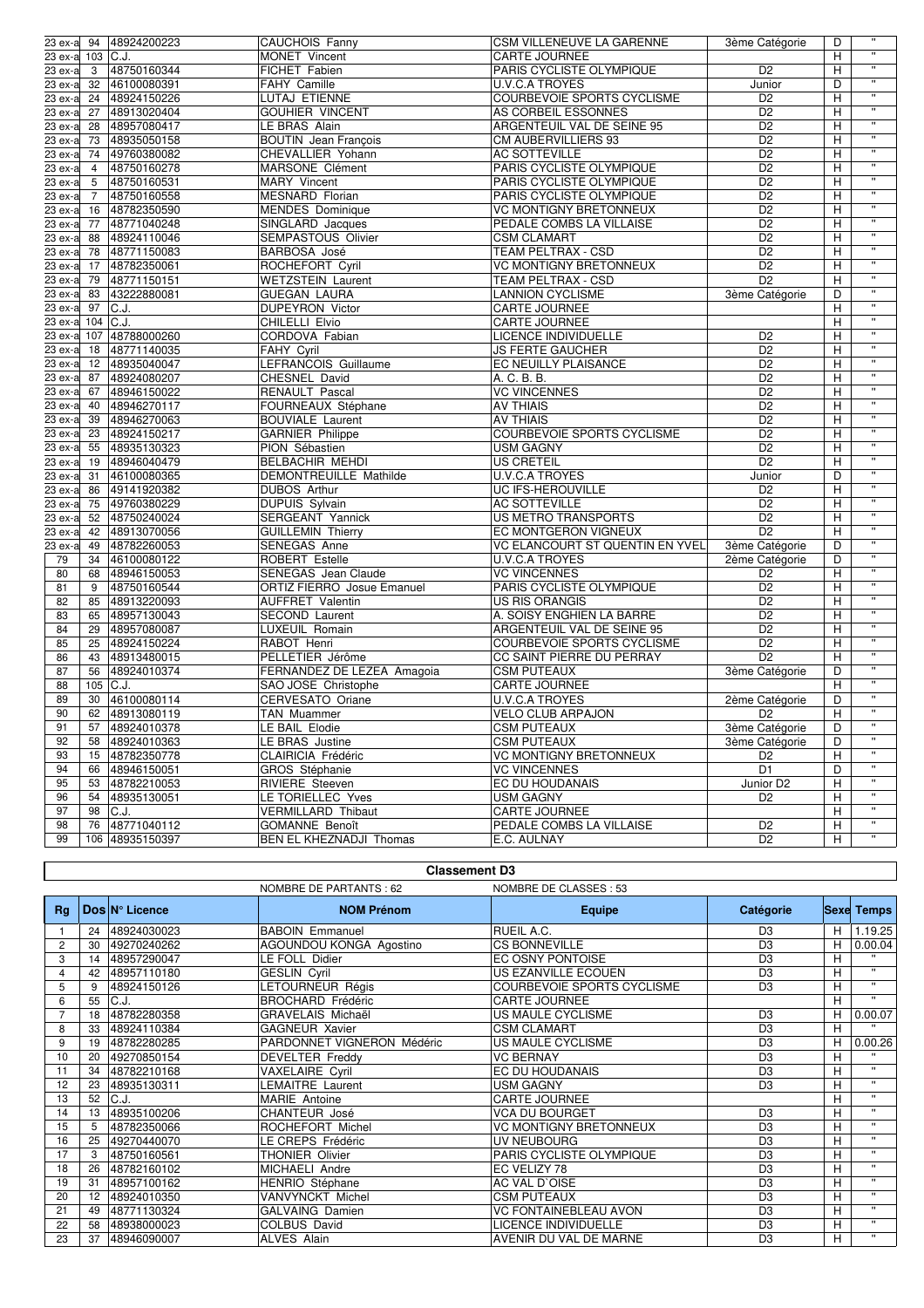| 23 ex-a 94 |                | 48924200223                | CAUCHOIS Fanny              | <b>CSM VILLENEUVE LA GARENNE</b>                | 3ème Catégorie        | D | $\mathbf{u}$            |
|------------|----------------|----------------------------|-----------------------------|-------------------------------------------------|-----------------------|---|-------------------------|
| 23 ex-a    | $103$ C.J.     |                            | MONET Vincent               | <b>CARTE JOURNEE</b>                            |                       | н | $\mathbf{u}$            |
| 23 ex-a    | 3              | 48750160344                | FICHET Fabien               | PARIS CYCLISTE OLYMPIQUE                        | D <sub>2</sub>        | H | $\mathbf{u}$            |
| 23 ex-a    | 32             | 46100080391                | FAHY Camille                | <b>U.V.C.A TROYES</b>                           | Junior                | D | $\mathbf{u}$            |
| 23 ex-a    | 24             | 48924150226                | LUTAJ ETIENNE               | COURBEVOIE SPORTS CYCLISME                      | $\overline{D2}$       | H | π                       |
| $23 ex-a$  | 27             | 48913020404                | <b>GOUHIER VINCENT</b>      | AS CORBEIL ESSONNES                             | $\overline{D2}$       | Н | π                       |
| 23 ex-a    | 28             | 48957080417                | LE BRAS Alain               | ARGENTEUIL VAL DE SEINE 95                      | $\overline{D2}$       | H | π                       |
| $23 ex-a$  | 73             | 48935050158                | <b>BOUTIN</b> Jean François | CM AUBERVILLIERS 93                             | D2                    | н | π                       |
| 23 ex-a    | 74             | 49760380082                | CHEVALLIER Yohann           | <b>AC SOTTEVILLE</b>                            | $\overline{D2}$       | H | π                       |
| $23 ex-a$  | 4              | 48750160278                | MARSONE Clément             | PARIS CYCLISTE OLYMPIQUE                        | $\overline{D2}$       | Η | π                       |
| 23 ex-a    | 5              | 48750160531                | <b>MARY Vincent</b>         | PARIS CYCLISTE OLYMPIQUE                        | $\overline{D2}$       | H | π                       |
| $23 ex-a$  | $\overline{7}$ | 48750160558                | <b>MESNARD Florian</b>      | PARIS CYCLISTE OLYMPIQUE                        | D2                    | Η | π                       |
| 23 ex-a    | 16             | 48782350590                | <b>MENDES</b> Dominique     | <b>VC MONTIGNY BRETONNEUX</b>                   | $\overline{D2}$       | H | π                       |
| $23 ex-a$  | 77             | 48771040248                | SINGLARD Jacques            | PEDALE COMBS LA VILLAISE                        | D2                    | н | π                       |
| 23 ex-a    | 88             |                            | SEMPASTOUS Olivier          |                                                 | $\overline{D2}$       |   | π                       |
| $23 ex-a$  |                | 48924110046<br>48771150083 |                             | <b>CSM CLAMART</b><br><b>TEAM PELTRAX - CSD</b> |                       | H | π                       |
|            | 78             |                            | BARBOSA José                |                                                 | D <sub>2</sub>        | Η | π                       |
| 23 ex-a    | 17             | 48782350061                | ROCHEFORT Cyril             | VC MONTIGNY BRETONNEUX                          | $\overline{D2}$       | H | π                       |
| 23 ex-a    | 79             | 48771150151                | <b>WETZSTEIN Laurent</b>    | <b>TEAM PELTRAX - CSD</b>                       | D <sub>2</sub>        | Η | π                       |
| 23 ex-a    | 83             | 43222880081                | <b>GUEGAN LAURA</b>         | <b>LANNION CYCLISME</b>                         | 3ème Catégorie        | D | π                       |
| 23 ex-a    | 97             | C.J.                       | <b>DUPEYRON Victor</b>      | <b>CARTE JOURNEE</b>                            |                       | Η | π                       |
| 23 ex-a    | 104            | C.J.                       | CHILELLI Elvio              | CARTE JOURNEE                                   |                       | H |                         |
| 23 ex-a    | 107            | 48788000260                | CORDOVA Fabian              | LICENCE INDIVIDUELLE                            | D2                    | н | π                       |
| 23 ex-a    | 18             | 48771140035                | <b>FAHY Cyril</b>           | <b>JS FERTE GAUCHER</b>                         | $\overline{D2}$       | H | π                       |
| 23 ex-a    | 12             | 48935040047                | LEFRANCOIS Guillaume        | <b>EC NEUILLY PLAISANCE</b>                     | D2                    | Η | π                       |
| 23 ex-a    | 87             | 48924080207                | CHESNEL David               | A. C. B. B.                                     | $\overline{D2}$       | H | π                       |
| 23 ex-a    | 67             | 48946150022                | RENAULT Pascal              | <b>VC VINCENNES</b>                             | D2                    | Η | π                       |
| 23 ex-a    | 40             | 48946270117                | FOURNEAUX Stéphane          | <b>AV THIAIS</b>                                | $\overline{D2}$       | H | π                       |
| 23 ex-a    | 39             | 48946270063                | <b>BOUVIALE Laurent</b>     | <b>AV THIAIS</b>                                | D2                    | Η | π                       |
| 23 ex-a    | 23             | 48924150217                | <b>GARNIER Philippe</b>     | COURBEVOIE SPORTS CYCLISME                      | $\overline{D2}$       | H | π                       |
| 23 ex-a    | 55             | 48935130323                | PION Sébastien              | <b>USM GAGNY</b>                                | $\overline{D2}$       | н | π                       |
| 23 ex-a    | 19             | 48946040479                | BELBACHIR MEHDI             | US CRETEIL                                      | $\overline{D2}$       | H | π                       |
| 23 ex-a    | 31             | 46100080365                | DEMONTREUILLE Mathilde      | <b>U.V.C.A TROYES</b>                           | Junior                | D | π                       |
| 23 ex-a    | 86             | 49141920382                | DUBOS Arthur                | UC IFS-HEROUVILLE                               | D <sub>2</sub>        | H | π                       |
| 23 ex-a    | 75             | 49760380229                | <b>DUPUIS</b> Sylvain       | <b>AC SOTTEVILLE</b>                            | D2                    | Η | π                       |
| 23 ex-a    | 52             | 48750240024                | SERGEANT Yannick            | US METRO TRANSPORTS                             | $\overline{D2}$       | H | π                       |
| 23 ex-a    | 42             | 48913070056                | <b>GUILLEMIN Thierry</b>    | EC MONTGERON VIGNEUX                            | D <sub>2</sub>        | H | π                       |
| 23 ex-a    | 49             | 48782260053                | SENEGAS Anne                | VC ELANCOURT ST QUENTIN EN YVEL                 | 3ème Catégorie        | D | π                       |
| 79         | 34             | 46100080122                | ROBERT Estelle              | <b>U.V.C.A TROYES</b>                           | 2ème Catégorie        | D | π                       |
| 80         | 68             | 48946150053                | SENEGAS Jean Claude         | <b>VC VINCENNES</b>                             | D2                    | H | π                       |
| 81         | 9              | 48750160544                | ORTIZ FIERRO Josue Emanuel  | PARIS CYCLISTE OLYMPIQUE                        | D2                    | Η | π                       |
| 82         | 85             | 48913220093                | <b>AUFFRET Valentin</b>     | <b>US RIS ORANGIS</b>                           | D <sub>2</sub>        | Н | π                       |
| 83         | 65             | 48957130043                | SECOND Laurent              | A. SOISY ENGHIEN LA BARRE                       | D2                    | н | π                       |
| 84         | 29             | 48957080087                | LUXEUIL Romain              | ARGENTEUIL VAL DE SEINE 95                      | $\overline{D2}$       | H | π                       |
| 85         | 25             | 48924150224                | RABOT Henri                 | COURBEVOIE SPORTS CYCLISME                      | $\overline{D2}$       | H | π                       |
| 86         | 43             | 48913480015                | PELLETIER Jérôme            | CC SAINT PIERRE DU PERRAY                       | D <sub>2</sub>        | H | π                       |
| 87         | 56             | 48924010374                | FERNANDEZ DE LEZEA Amagoia  | <b>CSM PUTEAUX</b>                              | 3ème Catégorie        | D | π                       |
| 88         | 105            | C.J.                       | SAO JOSE Christophe         | CARTE JOURNEE                                   |                       | H | π                       |
| 89         | 30             | 46100080114                | CERVESATO Oriane            | <b>U.V.C.A TROYES</b>                           | 2ème Catégorie        | D | π                       |
| 90         | 62             | 48913080119                | TAN Muammer                 | <b>VELO CLUB ARPAJON</b>                        | D <sub>2</sub>        | H | π                       |
| 91         | 57             | 48924010378                | LE BAIL Elodie              | <b>CSM PUTEAUX</b>                              | 3ème Catégorie        | D | $\overline{\mathbf{u}}$ |
| 92         | 58             | 48924010363                | LE BRAS Justine             | <b>CSM PUTEAUX</b>                              | 3ème Catégorie        | D | π                       |
| 93         | 15             | 48782350778                | CLAIRICIA Frédéric          | <b>VC MONTIGNY BRETONNEUX</b>                   | D <sub>2</sub>        | H | π                       |
| 94         | 66             | 48946150051                | GROS Stéphanie              | <b>VC VINCENNES</b>                             | $\overline{D1}$       | D | π                       |
| 95         | 53             | 48782210053                | RIVIERE Steeven             | EC DU HOUDANAIS                                 | Junior D <sub>2</sub> | Н | π                       |
| 96         | 54             | 48935130051                | LE TORIELLEC Yves           | <b>USM GAGNY</b>                                | D <sub>2</sub>        | н | π                       |
| 97         | 98             | C.J.                       | <b>VERMILLARD Thibaut</b>   | <b>CARTE JOURNEE</b>                            |                       | Н | π                       |
| 98         | 76             | 48771040112                | <b>GOMANNE Benoît</b>       | PEDALE COMBS LA VILLAISE                        | D <sub>2</sub>        | Η | π                       |
| 99         |                | 106 48935150397            | BEN EL KHEZNADJI Thomas     | E.C. AULNAY                                     | D <sub>2</sub>        | H | $\mathbf{u}$            |
|            |                |                            |                             |                                                 |                       |   |                         |

### **Classement D3**

Τ

 $\overline{\Gamma}$ 

|                |    |                       | <b>NOMBRE DE PARTANTS: 62</b> | NOMBRE DE CLASSES: 53             |                |   |                   |
|----------------|----|-----------------------|-------------------------------|-----------------------------------|----------------|---|-------------------|
| Rq             |    | <b>DosIN° Licence</b> | <b>NOM Prénom</b>             | Equipe                            | Catégorie      |   | <b>Sexe Temps</b> |
|                | 24 | 48924030023           | <b>BABOIN Emmanuel</b>        | RUEIL A.C.                        | D <sub>3</sub> | н | 1.19.25           |
| $\overline{c}$ | 30 | 49270240262           | AGOUNDOU KONGA Agostino       | <b>CS BONNEVILLE</b>              | D <sub>3</sub> | Н | 0.00.04           |
| 3              | 14 | 48957290047           | LE FOLL Didier                | EC OSNY PONTOISE                  | D <sub>3</sub> | H |                   |
| 4              | 42 | 48957110180           | <b>GESLIN Cyril</b>           | US EZANVILLE ECOUEN               | D <sub>3</sub> | н | $\mathbf{H}$      |
| 5              | 9  | 48924150126           | LETOURNEUR Régis              | <b>COURBEVOIE SPORTS CYCLISME</b> | D <sub>3</sub> | H | $\mathbf{u}$      |
| 6              | 55 | C.J.                  | <b>BROCHARD Frédéric</b>      | <b>CARTE JOURNEE</b>              |                | H | $\mathbf{u}$      |
|                | 18 | 48782280358           | GRAVELAIS Michaël             | US MAULE CYCLISME                 | D <sub>3</sub> | Н | 0.00.07           |
| 8              | 33 | 48924110384           | <b>GAGNEUR Xavier</b>         | <b>CSM CLAMART</b>                | D <sub>3</sub> | н | $\mathbf{H}$      |
| 9              | 19 | 48782280285           | PARDONNET VIGNERON Médéric    | US MAULE CYCLISME                 | D <sub>3</sub> | н | 0.00.26           |
| 10             | 20 | 49270850154           | <b>DEVELTER Freddy</b>        | <b>VC BERNAY</b>                  | D <sub>3</sub> | H |                   |
| 11             | 34 | 48782210168           | VAXELAIRE Cyril               | EC DU HOUDANAIS                   | D <sub>3</sub> | H | $\mathbf{u}$      |
| 12             | 23 | 48935130311           | LEMAITRE Laurent              | <b>USM GAGNY</b>                  | D <sub>3</sub> | H | $\mathbf{u}$      |
| 13             | 52 | C.J.                  | <b>MARIE</b> Antoine          | <b>CARTE JOURNEE</b>              |                | H | $\mathbf{H}$      |
| 14             | 13 | 48935100206           | CHANTEUR José                 | <b>VCA DU BOURGET</b>             | D <sub>3</sub> | H | $\mathbf{H}$      |
| 15             | 5  | 48782350066           | ROCHEFORT Michel              | <b>VC MONTIGNY BRETONNEUX</b>     | D <sub>3</sub> | н | $\mathbf{u}$      |
| 16             | 25 | 49270440070           | LE CREPS Frédéric             | UV NEUBOURG                       | D <sub>3</sub> | н | $\mathbf{H}$      |
| 17             | 3  | 48750160561           | <b>THONIER Olivier</b>        | PARIS CYCLISTE OLYMPIQUE          | D <sub>3</sub> | H | $\mathbf{H}$      |
| 18             | 26 | 48782160102           | MICHAELI Andre                | EC VELIZY 78                      | D <sub>3</sub> | н | $\mathbf{H}$      |
| 19             | 31 | 48957100162           | <b>HENRIO</b> Stéphane        | AC VAL D'OISE                     | D <sub>3</sub> | H | $\mathbf{u}$      |
| 20             | 12 | 48924010350           | VANVYNCKT Michel              | <b>CSM PUTEAUX</b>                | D <sub>3</sub> | H | $\mathbf{u}$      |
| 21             | 49 | 48771130324           | <b>GALVAING Damien</b>        | <b>VC FONTAINEBLEAU AVON</b>      | D <sub>3</sub> | H | $\mathbf{u}$      |
| 22             | 58 | 48938000023           | COLBUS David                  | <b>LICENCE INDIVIDUELLE</b>       | D <sub>3</sub> | Н | $\mathbf{u}$      |
| 23             | 37 | 48946090007           | <b>ALVES Alain</b>            | AVENIR DU VAL DE MARNE            | D <sub>3</sub> | н | $\mathbf{H}$      |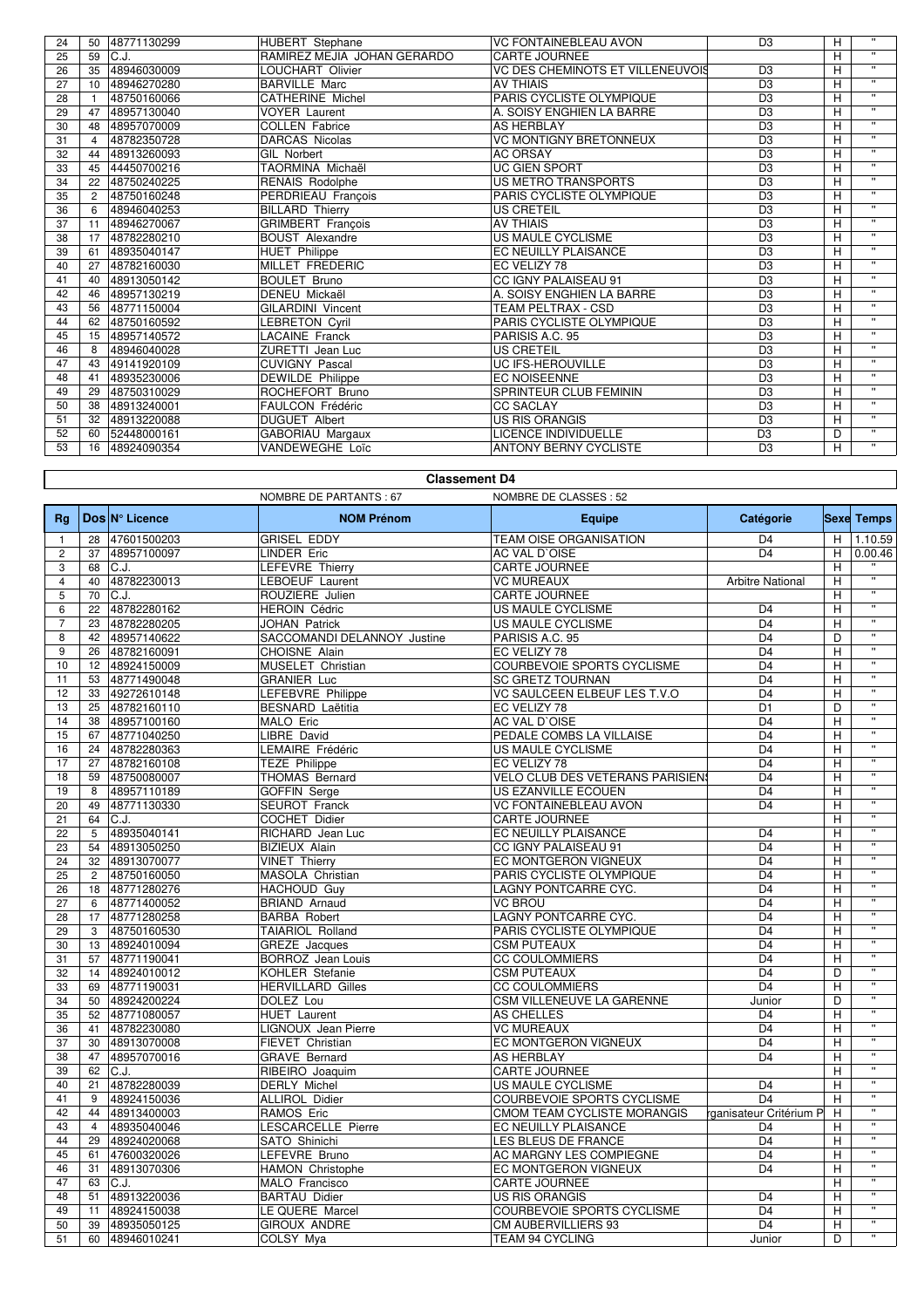| 24 | 50             | 48771130299 | <b>HUBERT</b> Stephane      | <b>VC FONTAINEBLEAU AVON</b>     | D <sub>3</sub> | Н | $\mathbf{H}$            |
|----|----------------|-------------|-----------------------------|----------------------------------|----------------|---|-------------------------|
| 25 | 59             | C.J.        | RAMIREZ MEJIA JOHAN GERARDO | <b>CARTE JOURNEE</b>             |                | H | $\mathbf{H}$            |
| 26 | 35             | 48946030009 | <b>LOUCHART Olivier</b>     | VC DES CHEMINOTS ET VILLENEUVOIS | D <sub>3</sub> | Н | $\mathbf{H}$            |
| 27 | 10             | 48946270280 | <b>BARVILLE Marc</b>        | <b>AV THIAIS</b>                 | D <sub>3</sub> | H | $\mathbf{H}$            |
| 28 |                | 48750160066 | <b>CATHERINE Michel</b>     | PARIS CYCLISTE OLYMPIQUE         | D <sub>3</sub> | Н | $\mathbf{H}$            |
| 29 | 47             | 48957130040 | <b>VOYER Laurent</b>        | A. SOISY ENGHIEN LA BARRE        | D <sub>3</sub> | H | $\mathbf{H}$            |
| 30 | 48             | 48957070009 | <b>COLLEN Fabrice</b>       | <b>AS HERBLAY</b>                | D <sub>3</sub> | H | $\mathbf{H}$            |
| 31 | $\overline{4}$ | 48782350728 | <b>DARCAS Nicolas</b>       | <b>VC MONTIGNY BRETONNEUX</b>    | D <sub>3</sub> | H | $\mathbf{H}$            |
| 32 | 44             | 48913260093 | <b>GIL Norbert</b>          | <b>AC ORSAY</b>                  | D <sub>3</sub> | H | $\mathbf{H}$            |
| 33 | 45             | 44450700216 | TAORMINA Michaël            | UC GIEN SPORT                    | D <sub>3</sub> | H | $\overline{\mathbf{u}}$ |
| 34 | 22             | 48750240225 | <b>RENAIS Rodolphe</b>      | <b>US METRO TRANSPORTS</b>       | D <sub>3</sub> | H | $\mathbf{H}$            |
| 35 | $\overline{2}$ | 48750160248 | PERDRIEAU François          | <b>PARIS CYCLISTE OLYMPIQUE</b>  | D <sub>3</sub> | H | $\mathbf{H}$            |
| 36 | 6              | 48946040253 | <b>BILLARD Thierry</b>      | US CRETEIL                       | D <sub>3</sub> | H | $\mathbf{H}$            |
| 37 | 11             | 48946270067 | <b>GRIMBERT</b> François    | <b>AV THIAIS</b>                 | D <sub>3</sub> | Н | $\mathbf{H}$            |
| 38 | 17             | 48782280210 | <b>BOUST Alexandre</b>      | US MAULE CYCLISME                | D <sub>3</sub> | H | $\mathbf{H}$            |
| 39 | 61             | 48935040147 | <b>HUET Philippe</b>        | <b>EC NEUILLY PLAISANCE</b>      | D <sub>3</sub> | H | $\mathbf{H}$            |
| 40 | 27             | 48782160030 | <b>MILLET FREDERIC</b>      | EC VELIZY 78                     | D <sub>3</sub> | H | $\mathbf{H}$            |
| 41 | 40             | 48913050142 | <b>BOULET Bruno</b>         | CC IGNY PALAISEAU 91             | D <sub>3</sub> | H | $\mathbf{H}$            |
| 42 | 46             | 48957130219 | <b>DENEU Mickaël</b>        | A. SOISY ENGHIEN LA BARRE        | D <sub>3</sub> | H | $\mathbf{H}$            |
| 43 | 56             | 48771150004 | <b>GILARDINI Vincent</b>    | TEAM PELTRAX - CSD               | D <sub>3</sub> | H | $\mathbf{H}$            |
| 44 | 62             | 48750160592 | <b>LEBRETON Cyril</b>       | PARIS CYCLISTE OLYMPIOUE         | D <sub>3</sub> | H | $\mathbf{H}$            |
| 45 | 15             | 48957140572 | <b>LACAINE Franck</b>       | PARISIS A.C. 95                  | D <sub>3</sub> | H | $\mathbf{u}$            |
| 46 | 8              | 48946040028 | <b>ZURETTI Jean Luc</b>     | <b>US CRETEIL</b>                | D <sub>3</sub> | H | $\mathbf{H}$            |
| 47 | 43             | 49141920109 | <b>CUVIGNY Pascal</b>       | <b>UC IFS-HEROUVILLE</b>         | D <sub>3</sub> | H | $\overline{\mathbf{u}}$ |
| 48 | 41             | 48935230006 | <b>DEWILDE</b> Philippe     | <b>EC NOISEENNE</b>              | D <sub>3</sub> | Н | $\mathbf{H}$            |
| 49 | 29             | 48750310029 | ROCHEFORT Bruno             | <b>SPRINTEUR CLUB FEMININ</b>    | D <sub>3</sub> | H | $\mathbf{H}$            |
| 50 | 38             | 48913240001 | FAULCON Frédéric            | <b>CC SACLAY</b>                 | D <sub>3</sub> | H | $\mathbf{H}$            |
| 51 | 32             | 48913220088 | <b>DUGUET Albert</b>        | <b>US RIS ORANGIS</b>            | D <sub>3</sub> | H | $\overline{w}$          |
| 52 | 60             | 52448000161 | GABORIAU Margaux            | LICENCE INDIVIDUELLE             | D <sub>3</sub> | D | $\mathbf{H}$            |
| 53 | 16             | 48924090354 | VANDEWEGHE Loïc             | <b>ANTONY BERNY CYCLISTE</b>     | D <sub>3</sub> | H | $\mathbf{H}$            |

|                | <b>Classement D4</b> |                            |                                            |                                  |                                   |                         |                           |  |  |
|----------------|----------------------|----------------------------|--------------------------------------------|----------------------------------|-----------------------------------|-------------------------|---------------------------|--|--|
|                |                      |                            | <b>NOMBRE DE PARTANTS: 67</b>              | NOMBRE DE CLASSES : 52           |                                   |                         |                           |  |  |
| Rq             |                      | Dos N° Licence             | <b>NOM Prénom</b>                          | Equipe                           | <b>Catégorie</b>                  |                         | <b>Sexe Temps</b>         |  |  |
| $\mathbf{1}$   | 28                   | 47601500203                | <b>GRISEL EDDY</b>                         | TEAM OISE ORGANISATION           | D <sub>4</sub>                    | H                       | 1.10.59                   |  |  |
| $\overline{2}$ | 37                   | 48957100097                | <b>LINDER Eric</b>                         | <b>AC VAL D'OISE</b>             | D <sub>4</sub>                    | H                       | 0.00.46                   |  |  |
| 3              | 68                   | C.J.                       | LEFEVRE Thierry                            | CARTE JOURNEE                    |                                   | н                       |                           |  |  |
| $\overline{4}$ | 40                   | 48782230013                | LEBOEUF Laurent                            | <b>VC MUREAUX</b>                | <b>Arbitre National</b>           | Η                       | $\overline{u}$            |  |  |
| $\overline{5}$ | 70                   | C.J.                       | ROUZIERE Julien                            | <b>CARTE JOURNEE</b>             |                                   | н                       |                           |  |  |
| 6              | 22                   | 48782280162                | <b>HEROIN Cédric</b>                       | US MAULE CYCLISME                | D <sub>4</sub>                    | н                       |                           |  |  |
| $\overline{7}$ | 23                   | 48782280205                | <b>JOHAN Patrick</b>                       | <b>US MAULE CYCLISME</b>         | $\overline{D4}$                   | Η                       | $\overline{\mathbf{u}}$   |  |  |
| 8              | 42                   | 48957140622                | SACCOMANDI DELANNOY Justine                | PARISIS A.C. 95                  | D <sub>4</sub>                    | D                       | $\overline{\mathbf{u}}$   |  |  |
| 9              | 26                   | 48782160091                | CHOISNE Alain                              | EC VELIZY 78                     | $\overline{D4}$                   | Η                       | $\overline{\mathbf{u}}$   |  |  |
| 10             | 12                   | 48924150009                | MUSELET Christian                          | COURBEVOIE SPORTS CYCLISME       | D <sub>4</sub>                    | Н                       | $\overline{\mathbf{u}}$   |  |  |
| 11             | 53                   | 48771490048                | <b>GRANIER Luc</b>                         | <b>SC GRETZ TOURNAN</b>          | D <sub>4</sub>                    | Н                       | $\overline{u}$            |  |  |
| 12             | 33                   | 49272610148                | LEFEBVRE Philippe                          | VC SAULCEEN ELBEUF LES T.V.O     | $\overline{D4}$                   | H                       | π                         |  |  |
| 13             | 25                   | 48782160110                | <b>BESNARD Laëtitia</b>                    | EC VELIZY 78                     | D <sub>1</sub>                    | D                       | $\overline{\mathbf{u}}$   |  |  |
| 14             | 38                   | 48957100160                | MALO Eric                                  | <b>AC VAL D'OISE</b>             | D <sub>4</sub>                    | H                       | $\overline{w}$            |  |  |
| 15             | 67                   | 48771040250                | LIBRE David                                | PEDALE COMBS LA VILLAISE         | $\overline{D4}$                   | H                       | π<br>$\overline{ }$       |  |  |
| 16             | 24                   | 48782280363                | LEMAIRE Frédéric                           | US MAULE CYCLISME                | D <sub>4</sub>                    | Η                       | $\overline{\mathbf{u}}$   |  |  |
| 17             | 27                   | 48782160108                | <b>TEZE Philippe</b>                       | EC VELIZY 78                     | $\overline{D4}$                   | $\overline{\mathsf{H}}$ |                           |  |  |
| 18             | 59                   | 48750080007                | THOMAS Bernard                             | VELO CLUB DES VETERANS PARISIENS | D <sub>4</sub>                    | Η                       | $\overline{\mathbf{u}}$   |  |  |
| 19             | 8                    | 48957110189                | <b>GOFFIN</b> Serge                        | <b>US EZANVILLE ECOUEN</b>       | $\overline{D4}$                   | Η                       | $\overline{\mathbf{u}}$   |  |  |
| 20             | 49                   | 48771130330                | SEUROT Franck                              | VC FONTAINEBLEAU AVON            | D <sub>4</sub>                    | H                       | Ŧ                         |  |  |
| 21             | 64                   | C.J.                       | <b>COCHET Didier</b>                       | <b>CARTE JOURNEE</b>             |                                   | Η                       |                           |  |  |
| 22             | $\overline{5}$       | 48935040141                | RICHARD Jean Luc                           | <b>EC NEUILLY PLAISANCE</b>      | D <sub>4</sub>                    | Η                       | $\overline{\mathbf{u}}$   |  |  |
| 23             | 54                   | 48913050250                | <b>BIZIEUX Alain</b>                       | CC IGNY PALAISEAU 91             | D <sub>4</sub>                    | Η                       | Ŧ                         |  |  |
| 24             | 32                   | 48913070077                | <b>VINET Thierry</b>                       | EC MONTGERON VIGNEUX             | D <sub>4</sub>                    | H                       |                           |  |  |
| 25             | $\overline{2}$       | 48750160050                | MASOLA Christian                           | PARIS CYCLISTE OLYMPIQUE         | D <sub>4</sub>                    | Η                       |                           |  |  |
| 26             | 18                   | 48771280276                | <b>HACHOUD Guy</b>                         | LAGNY PONTCARRE CYC.             | $\overline{D4}$                   | н                       | $\overline{\mathbf{u}}$   |  |  |
| 27             | 6                    | 48771400052                | <b>BRIAND Arnaud</b>                       | <b>VC BROU</b>                   | D <sub>4</sub>                    | H                       |                           |  |  |
| 28             | 17                   | 48771280258                | <b>BARBA Robert</b>                        | LAGNY PONTCARRE CYC.             | D <sub>4</sub>                    | Η                       |                           |  |  |
| 29             | 3                    | 48750160530                | TAIARIOL Rolland                           | PARIS CYCLISTE OLYMPIQUE         | $\overline{D4}$                   | Η                       | π                         |  |  |
| 30             | 13                   | 48924010094                | <b>GREZE</b> Jacques                       | <b>CSM PUTEAUX</b>               | D <sub>4</sub>                    | Н                       | $\overline{w}$            |  |  |
| 31             | 57                   | 48771190041                | <b>BORROZ</b> Jean Louis                   | <b>CC COULOMMIERS</b>            | D <sub>4</sub>                    | Η                       | $\mathbf{u}$              |  |  |
| 32             | 14                   | 48924010012                | <b>KOHLER Stefanie</b>                     | <b>CSM PUTEAUX</b>               | D <sub>4</sub><br>$\overline{D4}$ | D                       | $\overline{\mathbf{u}}$   |  |  |
| 33             | 69                   | 48771190031<br>48924200224 | <b>HERVILLARD Gilles</b><br>DOLEZ Lou      | <b>CC COULOMMIERS</b>            |                                   | Η                       | $\overline{u}$            |  |  |
| 34             | 50                   | 48771080057                |                                            | CSM VILLENEUVE LA GARENNE        | Junior<br>D <sub>4</sub>          | D<br>Н                  | π                         |  |  |
| 35<br>36       | 52<br>41             | 48782230080                | <b>HUET</b> Laurent<br>LIGNOUX Jean Pierre | AS CHELLES<br><b>VC MUREAUX</b>  | $\overline{D4}$                   | Η                       |                           |  |  |
| 37             | 30                   | 48913070008                | FIEVET Christian                           | EC MONTGERON VIGNEUX             | D <sub>4</sub>                    | H                       | $\overline{u}$            |  |  |
| 38             | 47                   | 48957070016                | <b>GRAVE Bernard</b>                       | <b>AS HERBLAY</b>                | $\overline{D4}$                   | Н                       | $\overline{\mathbf{u}}$   |  |  |
| 39             | 62                   | C.J.                       | RIBEIRO Joaquim                            | <b>CARTE JOURNEE</b>             |                                   | Η                       |                           |  |  |
| 40             | 21                   | 48782280039                | <b>DERLY Michel</b>                        | <b>US MAULE CYCLISME</b>         | $\overline{D4}$                   | Н                       | $\overline{\mathbf{u}}$   |  |  |
| 41             | 9                    | 48924150036                | ALLIROL Didier                             | COURBEVOIE SPORTS CYCLISME       | $\overline{D4}$                   | H                       | Ŧ                         |  |  |
| 42             | 44                   | 48913400003                | RAMOS Eric                                 | CMOM TEAM CYCLISTE MORANGIS      | rganisateur Critérium P           | H                       |                           |  |  |
| 43             | $\overline{4}$       | 48935040046                | <b>LESCARCELLE Pierre</b>                  | EC NEUILLY PLAISANCE             | D <sub>4</sub>                    | н                       | $\overline{\mathbf{u}}$   |  |  |
| 44             | 29                   | 48924020068                | SATO Shinichi                              | LES BLEUS DE FRANCE              | D <sub>4</sub>                    | H                       | $\overline{\mathfrak{n}}$ |  |  |
| 45             | 61                   | 47600320026                | LEFEVRE Bruno                              | AC MARGNY LES COMPIEGNE          | D <sub>4</sub>                    | н                       |                           |  |  |
| 46             | 31                   | 48913070306                | <b>HAMON Christophe</b>                    | EC MONTGERON VIGNEUX             | $\overline{D4}$                   | н                       |                           |  |  |
| 47             | 63                   | C.J.                       | MALO Francisco                             | <b>CARTE JOURNEE</b>             |                                   | Η                       | $\overline{\mathbf{u}}$   |  |  |
| 48             | 51                   | 48913220036                | <b>BARTAU Didier</b>                       | <b>US RIS ORANGIS</b>            | D <sub>4</sub>                    | Н                       | $\overline{\mathbf{u}}$   |  |  |
| 49             | 11                   | 48924150038                | LE QUERE Marcel                            | COURBEVOIE SPORTS CYCLISME       | D <sub>4</sub>                    | H                       | $\overline{\mathbf{u}}$   |  |  |
| 50             | 39                   | 48935050125                | <b>GIROUX ANDRE</b>                        | CM AUBERVILLIERS 93              | D <sub>4</sub>                    | H                       | $\overline{\mathbf{u}}$   |  |  |
| 51             | 60                   | 48946010241                | COLSY Mya                                  | TEAM 94 CYCLING                  | Junior                            | D                       | $\overline{w}$            |  |  |